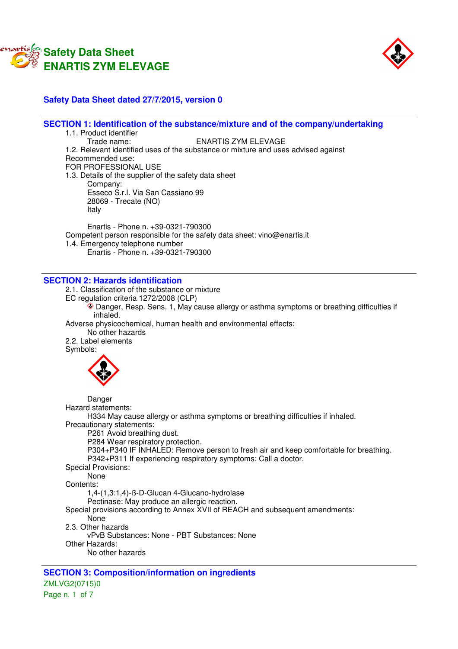



# **Safety Data Sheet dated 27/7/2015, version 0**

# **SECTION 1: Identification of the substance/mixture and of the company/undertaking**

1.1. Product identifier<br>Trade name: ENARTIS ZYM ELEVAGE 1.2. Relevant identified uses of the substance or mixture and uses advised against Recommended use: FOR PROFESSIONAL USE 1.3. Details of the supplier of the safety data sheet Company: Esseco S.r.l. Via San Cassiano 99 28069 - Trecate (NO) Italy

Enartis - Phone n. +39-0321-790300 Competent person responsible for the safety data sheet: vino@enartis.it 1.4. Emergency telephone number Enartis - Phone n. +39-0321-790300

#### **SECTION 2: Hazards identification**

2.1. Classification of the substance or mixture EC regulation criteria 1272/2008 (CLP) Danger, Resp. Sens. 1, May cause allergy or asthma symptoms or breathing difficulties if inhaled. Adverse physicochemical, human health and environmental effects: No other hazards 2.2. Label elements Symbols: Danger Hazard statements: H334 May cause allergy or asthma symptoms or breathing difficulties if inhaled. Precautionary statements: P261 Avoid breathing dust. P284 Wear respiratory protection. P304+P340 IF INHALED: Remove person to fresh air and keep comfortable for breathing. P342+P311 If experiencing respiratory symptoms: Call a doctor. Special Provisions: None Contents: 1,4-(1,3:1,4)-ß-D-Glucan 4-Glucano-hydrolase Pectinase: May produce an allergic reaction. Special provisions according to Annex XVII of REACH and subsequent amendments: None 2.3. Other hazards vPvB Substances: None - PBT Substances: None Other Hazards: No other hazards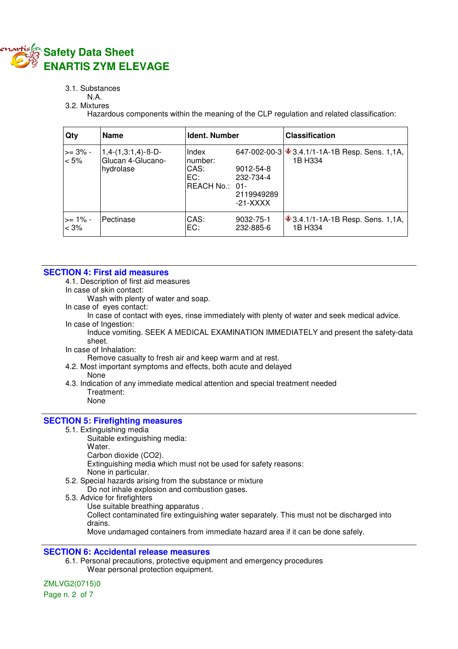

#### 3.1. Substances

# N.A.

3.2. Mixtures

Hazardous components within the meaning of the CLP regulation and related classification:

| Qty                   | <b>Name</b>                                            | Ident. Number                                     |                                                    | <b>Classification</b>                                        |
|-----------------------|--------------------------------------------------------|---------------------------------------------------|----------------------------------------------------|--------------------------------------------------------------|
| $>= 3\%$ -<br>$< 5\%$ | $1,4-(1,3:1,4)-B-D-$<br>Glucan 4-Glucano-<br>hydrolase | Index<br>number:<br>CAS:<br>EC:<br>REACH No.: 01- | 9012-54-8<br>232-734-4<br>2119949289<br>$-21-XXXX$ | 647-002-00-3 $\&$ 3.4.1/1-1A-1B Resp. Sens. 1,1A,<br>1B H334 |
| $>= 1\%$ -<br>< 3%    | Pectinase                                              | CAS:<br>EC:                                       | 9032-75-1<br>232-885-6                             | <b>♦ 3.4.1/1-1A-1B Resp. Sens. 1,1A,</b><br>1B H334          |

#### **SECTION 4: First aid measures**

4.1. Description of first aid measures

In case of skin contact:

Wash with plenty of water and soap.

In case of eyes contact:

In case of contact with eyes, rinse immediately with plenty of water and seek medical advice.

In case of Ingestion:

Induce vomiting. SEEK A MEDICAL EXAMINATION IMMEDIATELY and present the safety-data sheet.

In case of Inhalation:

Remove casualty to fresh air and keep warm and at rest.

4.2. Most important symptoms and effects, both acute and delayed

#### None

4.3. Indication of any immediate medical attention and special treatment needed Treatment: None

# **SECTION 5: Firefighting measures**

- 5.1. Extinguishing media
	- Suitable extinguishing media:
	- Water.

Carbon dioxide (CO2).

Extinguishing media which must not be used for safety reasons:

None in particular.

5.2. Special hazards arising from the substance or mixture

Do not inhale explosion and combustion gases.

5.3. Advice for firefighters

Use suitable breathing apparatus .

Collect contaminated fire extinguishing water separately. This must not be discharged into drains.

Move undamaged containers from immediate hazard area if it can be done safely.

# **SECTION 6: Accidental release measures**

6.1. Personal precautions, protective equipment and emergency procedures Wear personal protection equipment.

# ZMLVG2(0715)0

Page n. 2 of 7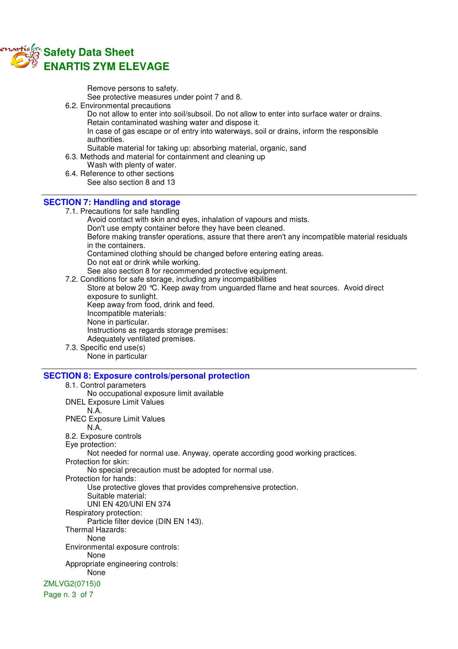

Remove persons to safety. See protective measures under point 7 and 8.

6.2. Environmental precautions

Do not allow to enter into soil/subsoil. Do not allow to enter into surface water or drains. Retain contaminated washing water and dispose it.

In case of gas escape or of entry into waterways, soil or drains, inform the responsible authorities.

Suitable material for taking up: absorbing material, organic, sand

- 6.3. Methods and material for containment and cleaning up
- Wash with plenty of water.
- 6.4. Reference to other sections See also section 8 and 13

#### **SECTION 7: Handling and storage**

7.1. Precautions for safe handling

Avoid contact with skin and eyes, inhalation of vapours and mists.

Don't use empty container before they have been cleaned.

Before making transfer operations, assure that there aren't any incompatible material residuals in the containers.

Contamined clothing should be changed before entering eating areas.

Do not eat or drink while working.

See also section 8 for recommended protective equipment.

7.2. Conditions for safe storage, including any incompatibilities

Store at below 20 °C. Keep away from unguarded flame and heat sources. Avoid direct exposure to sunlight. Keep away from food, drink and feed. Incompatible materials:

None in particular.

Instructions as regards storage premises:

Adequately ventilated premises.

7.3. Specific end use(s)

None in particular

# **SECTION 8: Exposure controls/personal protection**

8.1. Control parameters No occupational exposure limit available DNEL Exposure Limit Values N.A. PNEC Exposure Limit Values N.A. 8.2. Exposure controls Eye protection: Not needed for normal use. Anyway, operate according good working practices. Protection for skin: No special precaution must be adopted for normal use. Protection for hands: Use protective gloves that provides comprehensive protection. Suitable material: UNI EN 420/UNI EN 374 Respiratory protection: Particle filter device (DIN EN 143). Thermal Hazards: None Environmental exposure controls: None Appropriate engineering controls: None ZMLVG2(0715)0 Page n. 3 of 7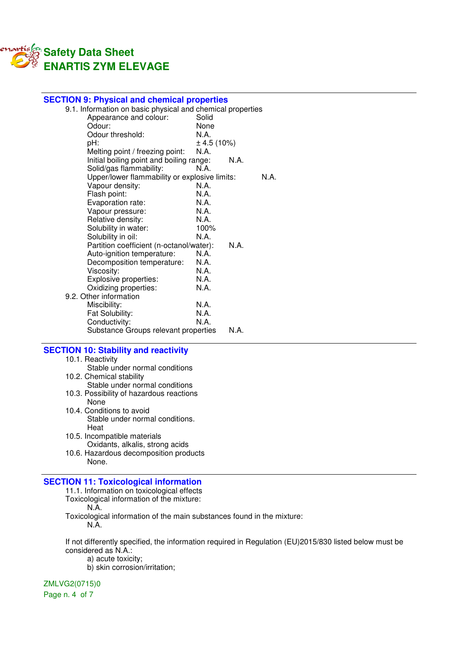

| <b>SECTION 9: Physical and chemical properties</b>         |            |      |      |
|------------------------------------------------------------|------------|------|------|
| 9.1. Information on basic physical and chemical properties |            |      |      |
| Appearance and colour:                                     | Solid      |      |      |
| Odour:                                                     | None       |      |      |
| Odour threshold:                                           | N.A.       |      |      |
| pH:                                                        | ± 4.5(10%) |      |      |
| Melting point / freezing point:                            | N.A.       |      |      |
| Initial boiling point and boiling range:                   |            | N A  |      |
| Solid/gas flammability:                                    | N.A.       |      |      |
| Upper/lower flammability or explosive limits:              |            |      | N.A. |
| Vapour density:                                            | N A        |      |      |
| Flash point:                                               | N.A.       |      |      |
| Evaporation rate:                                          | N.A.       |      |      |
| Vapour pressure:                                           | N.A.       |      |      |
| Relative density:                                          | N.A.       |      |      |
| Solubility in water:                                       | 100%       |      |      |
| Solubility in oil:                                         | N.A.       |      |      |
| Partition coefficient (n-octanol/water):                   |            | N.A. |      |
| Auto-ignition temperature:                                 | N.A.       |      |      |
| Decomposition temperature:                                 | N.A.       |      |      |
| Viscosity:                                                 | N.A.       |      |      |
| Explosive properties:                                      | N.A.       |      |      |
| Oxidizing properties:                                      | N.A.       |      |      |
| 9.2. Other information                                     |            |      |      |
| Miscibility:                                               | N.A.       |      |      |
| Fat Solubility:                                            | N.A.       |      |      |
| Conductivity:                                              | N.A.       |      |      |
| Substance Groups relevant properties                       |            | N.A. |      |
|                                                            |            |      |      |

# **SECTION 10: Stability and reactivity**

- 10.1. Reactivity
- Stable under normal conditions 10.2. Chemical stability Stable under normal conditions
- 10.3. Possibility of hazardous reactions None
- 10.4. Conditions to avoid Stable under normal conditions. **Heat**
- 10.5. Incompatible materials Oxidants, alkalis, strong acids
- 10.6. Hazardous decomposition products None.

# **SECTION 11: Toxicological information**

- 11.1. Information on toxicological effects Toxicological information of the mixture:
	- N.A.
- Toxicological information of the main substances found in the mixture: N.A.

If not differently specified, the information required in Regulation (EU)2015/830 listed below must be considered as N.A.:

a) acute toxicity;

b) skin corrosion/irritation;

ZMLVG2(0715)0

Page n. 4 of 7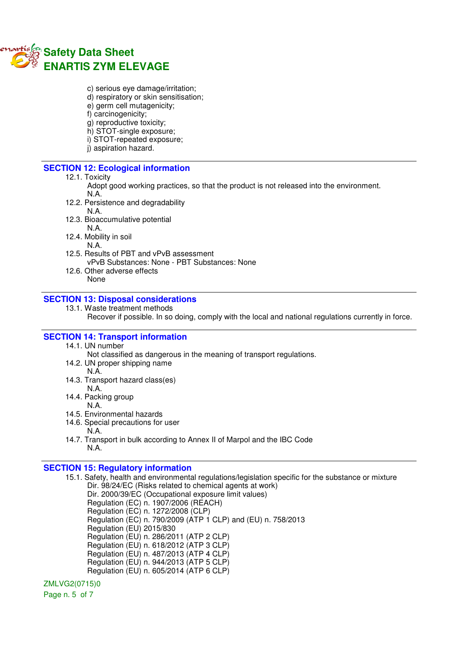

- c) serious eye damage/irritation;
- d) respiratory or skin sensitisation;
- e) germ cell mutagenicity;
- f) carcinogenicity;
- g) reproductive toxicity;
- h) STOT-single exposure;
- i) STOT-repeated exposure;
- j) aspiration hazard.

#### **SECTION 12: Ecological information**

#### 12.1. Toxicity

- Adopt good working practices, so that the product is not released into the environment. N.A.
- 12.2. Persistence and degradability
	- N.A.
- 12.3. Bioaccumulative potential

N.A.

- 12.4. Mobility in soil
	- N.A.
- 12.5. Results of PBT and vPvB assessment vPvB Substances: None - PBT Substances: None
- 12.6. Other adverse effects None

# **SECTION 13: Disposal considerations**

13.1. Waste treatment methods

Recover if possible. In so doing, comply with the local and national regulations currently in force.

# **SECTION 14: Transport information**

14.1. UN number

Not classified as dangerous in the meaning of transport regulations.

- 14.2. UN proper shipping name
	- N.A.
- 14.3. Transport hazard class(es)
- N.A. 14.4. Packing group
	- N.A.
- 14.5. Environmental hazards
- 14.6. Special precautions for user
	- N.A.
- 14.7. Transport in bulk according to Annex II of Marpol and the IBC Code N.A.

# **SECTION 15: Regulatory information**

15.1. Safety, health and environmental regulations/legislation specific for the substance or mixture Dir. 98/24/EC (Risks related to chemical agents at work) Dir. 2000/39/EC (Occupational exposure limit values) Regulation (EC) n. 1907/2006 (REACH) Regulation (EC) n. 1272/2008 (CLP) Regulation (EC) n. 790/2009 (ATP 1 CLP) and (EU) n. 758/2013 Regulation (EU) 2015/830 Regulation (EU) n. 286/2011 (ATP 2 CLP) Regulation (EU) n. 618/2012 (ATP 3 CLP) Regulation (EU) n. 487/2013 (ATP 4 CLP) Regulation (EU) n. 944/2013 (ATP 5 CLP) Regulation (EU) n. 605/2014 (ATP 6 CLP)

ZMLVG2(0715)0

Page n. 5 of 7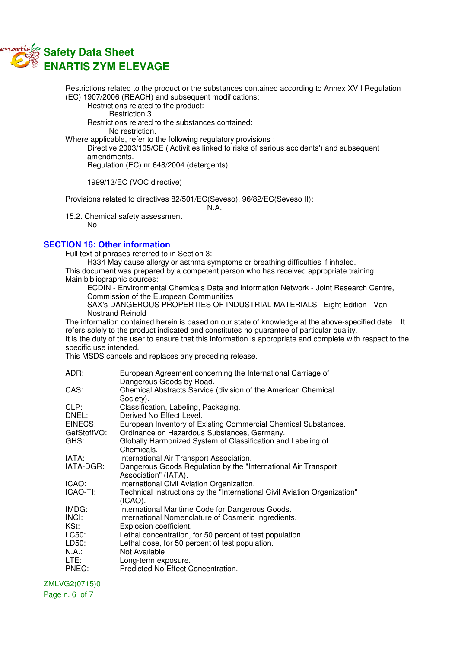

Restrictions related to the product or the substances contained according to Annex XVII Regulation (EC) 1907/2006 (REACH) and subsequent modifications: Restrictions related to the product: Restriction 3 Restrictions related to the substances contained: No restriction. Where applicable, refer to the following regulatory provisions : Directive 2003/105/CE ('Activities linked to risks of serious accidents') and subsequent amendments. Regulation (EC) nr 648/2004 (detergents). 1999/13/EC (VOC directive) Provisions related to directives 82/501/EC(Seveso), 96/82/EC(Seveso II): N.A.

15.2. Chemical safety assessment No

# **SECTION 16: Other information**

Full text of phrases referred to in Section 3:

H334 May cause allergy or asthma symptoms or breathing difficulties if inhaled.

This document was prepared by a competent person who has received appropriate training. Main bibliographic sources:

ECDIN - Environmental Chemicals Data and Information Network - Joint Research Centre, Commission of the European Communities

SAX's DANGEROUS PROPERTIES OF INDUSTRIAL MATERIALS - Eight Edition - Van Nostrand Reinold

The information contained herein is based on our state of knowledge at the above-specified date. It refers solely to the product indicated and constitutes no guarantee of particular quality. It is the duty of the user to ensure that this information is appropriate and complete with respect to the specific use intended.

This MSDS cancels and replaces any preceding release.

| ADR:        | European Agreement concerning the International Carriage of                          |
|-------------|--------------------------------------------------------------------------------------|
|             | Dangerous Goods by Road.                                                             |
| CAS:        | Chemical Abstracts Service (division of the American Chemical                        |
|             | Society).                                                                            |
| CLP:        | Classification, Labeling, Packaging.                                                 |
| DNEL:       | Derived No Effect Level.                                                             |
| EINECS:     | European Inventory of Existing Commercial Chemical Substances.                       |
| GefStoffVO: | Ordinance on Hazardous Substances, Germany.                                          |
| GHS:        | Globally Harmonized System of Classification and Labeling of                         |
|             | Chemicals.                                                                           |
| IATA:       | International Air Transport Association.                                             |
| IATA-DGR:   | Dangerous Goods Regulation by the "International Air Transport"                      |
|             | Association" (IATA).                                                                 |
| ICAO:       | International Civil Aviation Organization.                                           |
| ICAO-TI:    | Technical Instructions by the "International Civil Aviation Organization"<br>(ICAO). |
| IMDG:       | International Maritime Code for Dangerous Goods.                                     |
| INCI:       | International Nomenclature of Cosmetic Ingredients.                                  |
| KSt:        | Explosion coefficient.                                                               |
| LC50:       | Lethal concentration, for 50 percent of test population.                             |
| LD50:       | Lethal dose, for 50 percent of test population.                                      |
| $N.A.$ :    | Not Available                                                                        |
| LTE:        | Long-term exposure.                                                                  |
| PNEC:       | Predicted No Effect Concentration.                                                   |

#### ZMLVG2(0715)0

Page n. 6 of 7